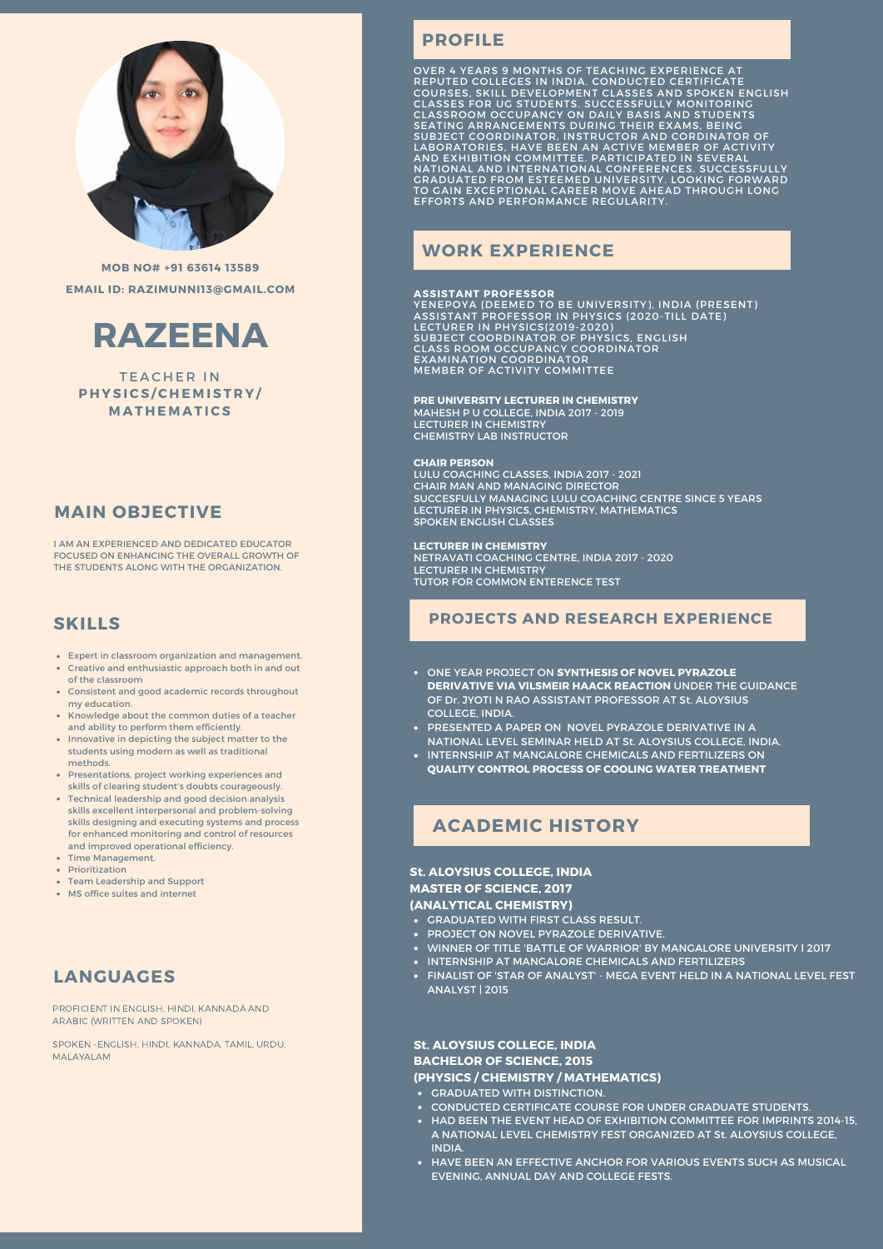

**MOB NO# +91 63614 13589 EMAIL ID: RAZIMUNNI13@GMAIL.COM**



**TEACHER IN P H Y S ICS /C H E M I S T R Y / M A T H E M A T ICS**

## **MAIN OBJECTIVE**

I AM AN EXPERIENCED AND DEDICATED EDUCATOR FOCUSED ON ENHANCING THE OVERALL GROWTH OF THE STUDENTS ALONG WITH THE ORGANIZATION.

#### **SKILLS**

- Expert in classroom organization and management. Creative and enthusiastic approach both in and out
- of the classroom Consistent and good academic records throughout my education.
- Knowledge about the common duties of a teacher and ability to perform them efficiently.
- Innovative in depicting the subject matter to the students using modern as well as traditional methods.
- Presentations, project working experiences and skills of clearing student's doubts courageously.
- Technical leadership and good decision analysis skills excellent interpersonal and problem-solving skills designing and executing systems and process for enhanced monitoring and control of resources and improved operational efficiency.
- Time Management.
- Prioritization
- Team Leadership and Support MS office suites and internet

# **LANGUAGES**

PROFICIENT IN ENGLISH, HINDI, KANNADA AND ARABIC (WRITTEN AND SPOKEN)

SPOKEN -ENGLISH, HINDI, KANNADA, TAMIL, URDU, MALAYALAM

# **PROFILE**

O GAIN EXCEPTIONAL CAREER MC<br>FFORTS AND PERFORMANCE REGI OVER 4 YEARS 9 MONTHS OF TEACHING EXPERIENCE AT<br>REPUTED COLLEGES IN INDIA. CONDUCTED CERTIFICATE<br>COURSES, SKILL DEVELOPMENT CLASSES AND SPOKEN ENGLISH<br>CLASSES FOR UG STUDENTS. SUCCESSFULLY MONITORING<br>CLASSROOM OCCUPANCY ON

## **WORK EXPERIENCE**

**ASSISTANT PROFESSOR**<br>YENEPOYA (DEEMED TO BE UNIVERSITY), INDIA (PRESENT)<br>ASSISTANT PROFESSOR IN PHYSICS (2020-TILL DATE)<br>LECTURER IN PHYSICS(2019-2020)<br>SUBJECT COORDINATOR OF PHYSICS, ENGLISH<br>CLASS ROOM OCCUPANCY COORDINA

#### **PRE UNIVERSITY LECTURER IN CHEMISTRY** MAHESH P U COLLEGE, INDIA 2017 - 2019 LECTURER IN CHEMISTRY CHEMISTRY LAB INSTRUCTOR

#### **CHAIR PERSON**

LULU COACHING CLASSES, INDIA 2017 - 2021 CHAIR MAN AND MANAGING DIRECTOR SUCCESFULLY MANAGING LULU COACHING CENTRE SINCE 5 YEARS LECTURER IN PHYSICS, CHEMISTRY, MATHEMATICS SPOKEN ENGLISH CLASSES

**LECTURER IN CHEMISTRY** NETRAVATI COACHING CENTRE, INDIA 2017 - 2020 LECTURER IN CHEMISTRY TUTOR FOR COMMON ENTERENCE TEST

### **PROJECTS AND RESEARCH EXPERIENCE**

- ONE YEAR PROJECT ON **SYNTHESIS OF NOVEL PYRAZOLE DERIVATIVE VIA VILSMEIR HAACK REACTION** UNDER THE GUIDANCE OF Dr. JYOTI N RAO ASSISTANT PROFESSOR AT St. ALOYSIUS COLLEGE, INDIA.
- PRESENTED A PAPER ON NOVEL PYRAZOLE DERIVATIVE IN A NATIONAL LEVEL SEMINAR HELD AT St. ALOYSIUS COLLEGE, INDIA.
- INTERNSHIP AT MANGALORE CHEMICALS AND FERTILIZERS ON **QUALITY CONTROL PROCESS OF COOLING WATER TREATMENT**

## **ACADEMIC HISTORY ACADEMIC HISTORY**

### **St. ALOYSIUS COLLEGE, INDIA**

## **MASTER OF SCIENCE, 2017**

#### **(ANALYTICAL CHEMISTRY)**

- GRADUATED WITH FIRST CLASS RESULT.
- PROJECT ON NOVEL PYRAZOLE DERIVATIVE.
- WINNER OF TITLE 'BATTLE OF WARRIOR' BY MANGALORE UNIVERSITY l 2017
- INTERNSHIP AT MANGALORE CHEMICALS AND FERTILIZERS
- FINALIST OF 'STAR OF ANALYST' MEGA EVENT HELD IN A NATIONAL LEVEL FEST ANALYST | 2015

#### **St. ALOYSIUS COLLEGE, INDIA BACHELOR OF SCIENCE, 2015**

#### **(PHYSICS / CHEMISTRY / MATHEMATICS)**

- GRADUATED WITH DISTINCTION.
- CONDUCTED CERTIFICATE COURSE FOR UNDER GRADUATE STUDENTS.
- HAD BEEN THE EVENT HEAD OF EXHIBITION COMMITTEE FOR IMPRINTS 2014-15, A NATIONAL LEVEL CHEMISTRY FEST ORGANIZED AT St. ALOYSIUS COLLEGE, **INDIA**
- HAVE BEEN AN EFFECTIVE ANCHOR FOR VARIOUS EVENTS SUCH AS MUSICAL EVENING, ANNUAL DAY AND COLLEGE FESTS.